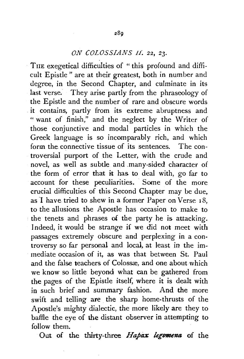## *ON COLOSSIANS 11, 22, 23.*

THE exegetical difficulties of "this profound and difficult Epistle" are at their greatest, both in number and degree, in the Second Chapter, and culminate in its last verse. They arise partly from the phraseology of the Epistle and the number of rare and obscure words it contains, partly from its extreme abruptness and " want of finish," and the neglect by the Writer of those conjunctive and modal particles in which the Greek language is so incomparably rich, and which form the connective tissue of its sentences. The controversial purport of the Letter, with the crude and novel, as well as subtle and .many-sided character of the form of error that it has to deal with, go far to account for these peculiarities. Some of the more crucial difficulties of this Second Chapter may be due, as I have tried to shew in a former Paper on Verse 18, to the allusions the Apostle has occasion to make to the tenets and phrases of the party he is attacking. Indeed, it would be strange if we did not meet with passages extremely obscure and perplexing in a controversy so far personal and local, at least in the immediate occasion of it, as was that between St. Paul and the false teachers of Colossæ, and one about which we know so little beyond what can be gathered from the pages of the Epistle itself, where it is dealt with in such brief and summary fashion. And the more swift and telling are the sharp home-thrusts of the Apostle's mighty dialectic, the more likely are they to baffle the eye of the distant observer in attempting to follow them.

Out of the thirty-three *Hapax legemena* of the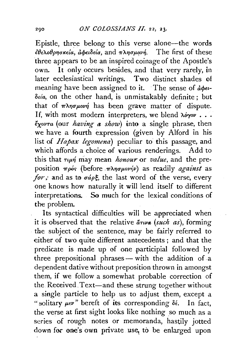Epistle, three belong to this verse alone-the words  $\epsilon \theta$ <sub>ελο</sub>θρησκεία, αφειδεία, and πλησμονή. The first of these three appears to be an inspired coinage of the Apostle's own. It only occurs besides, and that very rarely, in later ecclesiastical writings. Two distinct shades of meaning have been assigned to it. The sense of  $d\phi \epsilon t$ *oe/a,* on the other hand, is unmistakably definite ; but that of  $\pi\lambda\eta\sigma\mu o\nu\eta$  has been grave matter of dispute. If, with most modern interpreters, we blend *λόγον*... *€xovra* (our *having a show)* into a single phrase, then we have a fourth expression (given by Alford in his list of *Hapax legomena)* peculiar to this passage, and which affords a choice of various renderings. Add to this that  $\tau \mu \eta$  may mean *honour* or *value*, and the preposition  $\pi \rho \phi$ ; (before  $\pi \lambda \eta \sigma \mu o \nu \eta \nu$ ) as readily *against* as *for*; and as to  $\sigma \phi \in \mathcal{E}$ , the last word of the verse, every one knows how naturally it will lend itself to different interpretations. So much for the lexical conditions of the problem.

Its syntactical difficulties will be appreciated when it is observed that the relative  $\tilde{a}$ *rwa* (*such as*), forming the subject of the sentence, may be fairly referred to either of two quite different antecedents; and that the predicate is made up of one participial followed by three prepositional phrases - with the addition of a dependent dative without preposition thrown in amongst them, if we follow a somewhat probable correction of the Received\_ Text-and these strung together without a single particle to help us to adjust them, except a " solitary μεν" bereft of its corresponding δέ. In fact, the verse at first sight looks like nothing so much as a series of rough notes or memoranda, hastily jotted down for one's own private use, to be enlarged upon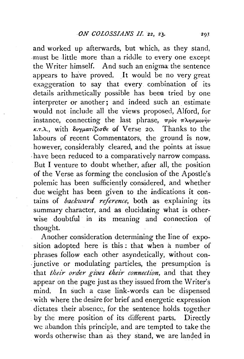and worked up afterwards, but which, as they stand, must be little more than a riddle to every one except the Writer himself. And such an enigma: the sentence appears to have proved. It would be no very great exaggeration to say that every combination of its details arithmetically possible has been tried by one interpreter or another; and indeed such an estimate would not include all the views proposed, Alford, for instance, connecting the last phrase,  $\pi \rho \delta s$   $\pi \lambda \eta \sigma \mu \omega v \gamma \nu$  $\kappa$ ..., with  $\delta$ oy $\mu$ ari $\zeta$ <sub>i</sub>eo  $\theta$  e of Verse 20. Thanks to the labours of recent Commentators, the ground is now, however; considerably cleared, and the points at issue , have been reduced to a comparatively narrow compass. But I venture to doubt whether, after all, the position of the Verse as forming the conclusion of the Apostle's polemic has been sufficiently considered, and whether due weight has been given to the indications it contains of *backward reference,* both as explaining its summary character, and as elucidating what is otherwise doubtful in its meaning and connection of thought.

Another consideration determining the line of exposition adopted here is this: that when a number of phrases follow each other asyndetically, without con iunctive or modulating particles, the presumption is that *their order giws their connection,* and that they appear on the page just as they issued from the Writer's mind. In such a case link-words can be dispensed -with where the desire for brief and energetic expression dictates their absence, for the sentence holds together by the mere position of its different parts. Directly we abandon this principle, and are tempted to take the words otherwise than as they stand, we are landed in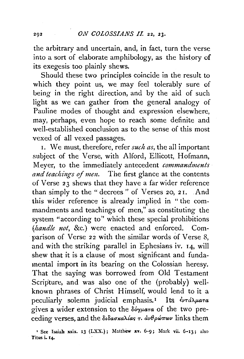the arbitrary and uncertain, and, in fact, turn the verse into a sort of elaborate amphibology, as the history of its exegesis too plainly shews.

Should these two principles coincide in the result to which they point us, we may feel tolerably sure of being in the right direction, and by the aid of such light as we can gather from the general analogy of Pauline modes of thought and expression elsewhere, may, perhaps, even hope to reach some definite and well-established conclusion as to the sense of this most vexed of all vexed passages.

1. We must, therefore, refer *such as,* the all important subject of the Verse, with Alford, Ellicott, Hofmann, Meyer, to the immediately antecedent *commandments*  and teachings of men. The first glance at the contents of Verse 23 shews that they have a far wider reference than simply to the "decrees" of Verses 20, 21. And this wider reference is already implied in "the commandments and teachings of men," as constituting the system "according to" which these special prohibitions *(handle not,* &c.) were enacted and enforced. Comparison of Verse *22* with the similar words of Verse 8, and with the striking parallel in Ephesians iv. 14, will shew that it is a clause of most significant and fundamental import in its bearing on the Colossian heresy. That the saying was borrowed from Old Testament Scripture, and was also one of the (probably) wellknown phrases of Christ Himself, would lend to it a peculiarly solemn judicial emphasis.<sup>1</sup> Its  $\epsilon_{\nu\tau}\hat{a}\lambda_{\mu}a\tau a$ gives a wider extension to the  $\delta \phi \gamma \mu \alpha \tau \alpha$  of the two preceding verses, and the  $\delta\iota\delta a\sigma\kappa a\lambda a\kappa\tau$ .  $\dot{a}\nu\theta\rho\dot{\omega}\pi\omega\nu$  links them

<sup>&#</sup>x27; See Isaiah xxix. 13 (LXX.); Matthew xv. 6-g; Mark vii. 6-13; also Titus i. 14-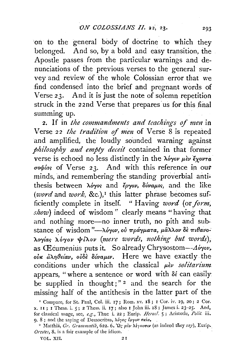on to the general body of doctrine to which they belonged. And so, by a bold and easy transition, the Apostle passes from the particular warnings and denunciations of the previous verses to the general survey and review of the whole Colossian error that we find condensed into the brief and pregnant words of Verse 23. And it is just the note of solemn repetition struck in the 22nd Verse that prepares us for this final summing up.

2. If in the commandments and teachings of men in Verse 22 the tradition of men of Verse 8 is repeated and amplified, the loudly sounded warning against philosophy and empty deceit contained in that former verse is echoed no less distinctly in the λόγον μεν έχοντα σοφίας of Verse 23. And with this reference in our minds, and remembering the standing proverbial antithesis between  $\lambda \dot{\phi}$  and  $\ddot{\epsilon} \rho \gamma \dot{\phi}$ ,  $\delta \dot{\psi}$  and the like (word and work, &c.),<sup>I</sup> this latter phrase becomes sufficiently complete in itself. "Having word (or form, show) indeed of wisdom" clearly means "having that and nothing more-no inner truth, no pith and substance of wisdom"-λόγον, ού πράγματα, μάλλον δε πιθανολογίας λόγον ψίλον (mere words, nothing but words), as Œcumenius puts it. So already Chrysostom--Aóyov,  $\omega$ *ik*  $\partial \lambda \eta \theta \epsilon$  *(av,*  $\omega \delta \epsilon$ *)*  $\delta \omega \nu \alpha \mu \nu$ *.* Here we have exactly the conditions under which the classical  $\mu$ *èv solitarium* appears, "where a sentence or word with δέ can easily be supplied in thought;" $2$  and the search for the missing half of the antithesis in the latter part of the

<sup>&</sup>lt;sup>1</sup> Compare, for St. Paul, Col. iii. 17; Rom. xv. 18; 1 Cor. iv. 19, 20; 2 Cor. x. II; I Thess. i. 5; 2 Thess. ii. 17; also I John iii. 18; James i. 23-25. And, for classical usage, see, e.g., Thuc i. 22; Eurip. Heracl. 5; Aristotle, Polit. iii. 9. 8; and the saying of Democritus, λόγος ίργου σκία.

<sup>&</sup>lt;sup>2</sup> Matthia, Gr. Grammatik, 622. 6. 'Qc piv λέγουσιν (as indeed they say), Eurip. Orestes, 8, is a fair example of the idiom.

VOL. XII.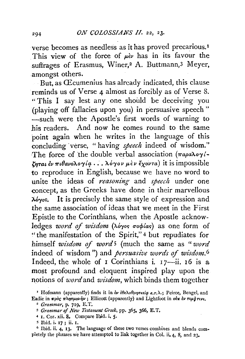verse becomes as needless as it has proved precarious. <sup>1</sup> This view of the force of  $\mu$ <sub>*èv*</sub> has in its favour the suffrages of Erasmus, Winer,<sup>2</sup> A. Buttmann,<sup>3</sup> Meyer, amongst others.

 $B$ ut, as  $E$ cumenius has already indicated, this clause reminds us of Verse 4 almost as forcibly as of Verse 8. "This I say lest any one should be deceiving you (playing off fallacies upon you) in persuasive speech" -such were the Apostle's first words of warning to his readers. And now he comes round to the same point again when he writes in the language of this concluding 'verse, "having *speech* indeed of wisdom." The force of the double verbal association  $(\pi a \rho a \lambda o \gamma)'$ - $\zeta_{\eta\tau\alpha\iota} \partial_\nu \pi_i \theta_{\alpha\nu\alpha} \lambda_{\varrho} \gamma_i \alpha \ldots \lambda_{\varrho} \delta_{\gamma\varrho} \nu \mu \partial_\nu \varrho \partial_\nu \alpha$  it is impossible to reproduce in English, because we have no word to unite the ideas of *reasoning* and *speech* under one concept, as the Greeks have done in their marvellous  $\lambda \omega_{\gamma}$ . It is precisely the same style of expression and the same association of ideas that we meet in the First Epistle *to* the Corinthians, when the Apostle acknowledges *word of wisdom* ( $\lambda$ óyos *σοφίας*) as one form of "the manifestation of the Spirit,"<sup>4</sup> but repudiates for himself *wisdom of word*<sup>5</sup> (much the same as "word indeed of wisdom") and *persuasive words of wisdom*.<sup>6</sup> Indeed, the whole of  $I$  Corinthians i.  $I7$ -ii. 16 is a most profound and eloquent inspired play upon the notions of *word* and *wisdom*, which binds them together

*4* 1. Cor. xii, &. Compare Ibid. i, *5·* 

<sup>&</sup>lt;sup>1</sup> Hofmann (apparently) finds it in *iv iθελοθρησκεία κ.τ.λ.*; Peirce, Bengel, and Eadie in *προς πλησμονήν*; Ellicott (apparently) and Lightfoot in *ούκ εν τιμή τινι*.

<sup>•</sup> *Grammar,* p. 719, E.T.

s *Grammar* qf *New Testament Greek,* pp. 365, 366, E. T,

<sup>5</sup> Ibid. i. 17; ii. 1.  $\frac{1}{2}$ . The language of these two verses combines and blends completely the phrases we have attempted to link together in Col. ii, 4, 8, and 23,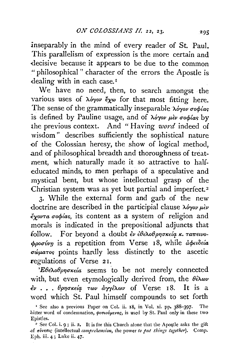inseparably in the mind of every reader of St. Paul. This parallelism of expression is the more certain and -decisive because it appears to be due to the common " philosophical " character of the errors the Apostle is dealing with in each case.<sup>1</sup>

We have no need, then, to search amongst the various uses of  $\lambda \phi \gamma \omega$  ey for that most fitting here. The sense of the grammatically inseparable  $\lambda \acute{o}y \acute{o}v \sigma \acute{o}y \acute{i}a\varsigma$ is defined by Pauline usage, and of  $\lambda \phi \gamma \omega \mu \partial \psi \sigma \phi \partial \phi$  by the previous context. And "Having *word* indeed of wisdom " describes sufficiently the sophistical nature <>f the Colossian heresy, the show of logical method, .and of philosophical breadth and thoroughness of treatment, which naturally made it so attractive to halfeducated minds, to men perhaps of a speculative and mystical bent, but whose intellectual grasp of the Christian system was as yet but partial and imperfect. <sup>2</sup>

3· While the external form and garb of the new doctrine are described in the participial clause  $\lambda \delta \gamma \omega \mu \epsilon \nu$ .€xov-ra uorpfar:;, its content as a system of religion and morals is indicated in the prepositional adjuncts that follow. For beyond a doubt  $\epsilon \nu \epsilon \theta \epsilon \lambda$  of  $\rho \eta \sigma \kappa \epsilon (a \kappa, \tau a \pi \epsilon \nu \nu \epsilon$  $φροσύνη$  is a repetition from Verse 18, while  $\phi$ φειδεία  $\sigma\omega\mu\sigma\sigma\varphi$  points hardly less distinctly to the ascetic regulations of Verse 21.

' $E\theta \epsilon \lambda o\theta \rho \eta \sigma \kappa \epsilon' a$  seems to be not merely connected with, but even etymologically derived from, the  $\theta \hat{\epsilon} \lambda \omega \nu$  $\dot{\epsilon}v$ ...  $\theta\rho\eta\sigma\kappa\epsilon\acute{a}q\tau\omega v\acute{a}\gamma\gamma\acute{\epsilon}\lambda\omega v$  of Verse 18. It is a word which St. Paul himself compounds to set forth

<sup>&#</sup>x27; See also a previous Paper on Col. ii. 18, in Vol. xi. pp. 388-397. The bitter word of condemnation,  $\phi v \sigma \iota \phi \psi \mu \varepsilon \nu \sigma \varepsilon$ , is used by St. Paul only in these two Epistles.

 $^2$  See Col. i. 9; ii. 2. It is for this Church alone that the Apostle asks the gift *of σύνεσις (intellectual comprehension, the power to put things together).* **Comp.** Eph. iii. 4; Luke ii. 47·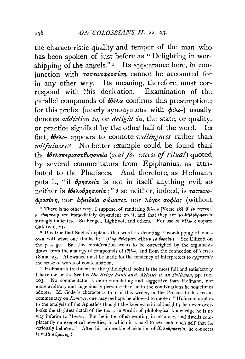the characteristic quality and temper of the man who has been spoken of just before as "Delighting in worshipping of the angels."<sup>1</sup> Its appearance here, in conjunction with ταπεινοφροσύνη, cannot he accounted for in any other way. Its meaning, therefore, must correspond with this derivation. Examination of the parallel compounds of  $\partial \theta \in \partial \Omega$  confirms this presumption: for this prefix (nearly synonymous with  $\phi \iota \lambda_{0}$ -) usually denotes *addiction to*, or *delight in*, the state, or quality, or practice signified by the other half of the word. In fact,  $\partial \epsilon \lambda$ o- appears to connote *willingness* rather than *wilfulness*.<sup>2</sup> No better example could be found than the εθελοπερισσοθρησκεία (zeal for excess of ritual) quoted by several commentators from Epiphanius, as attributed to the Pharisees. And therefore, as Hofmann puts it, "if  $\theta$ *pnokela* is not in itself anything evil, so neither is  $\epsilon \theta \epsilon \lambda_0 \theta \rho \eta \sigma \kappa \epsilon' \mu$  : 3 so neither, indeed, is  $\tau \alpha \pi \epsilon \nu \nu \sigma$ φροσύνη, nor αφειδεία σώματος, nor λόγος σοφίας (without:

<sup>1</sup> There is no other way, I suppose, of rendering  $\theta_i \lambda \omega \nu$  (Verse 18) if  $i\nu \tau a \pi \epsilon \nu$ .  $\kappa$ . θρησκεία are immediately dependent on it, and that they are so έθελοθρησκεία strongly indicates. So Bengel, Lightfoot, and others. For use of  $\theta \hat{\delta} \lambda \omega$  compare. Gal. iv. 9, 21.

<sup>2</sup> It is true that Suidas explains this word as denoting "worshipping at one's own will what one thinks fit" (i iy θελήματι σίβειν το δοκούν). See Ellicott on the passage. But this consideration seems to be outweighed by the arguments drawn from the analogy of compounds of  $\frac{\partial \theta}{\partial x}$ , and from the connection of Verses 18 and 23. Allowance must be made for the tendency of interpreters to aggravate the sense of words of condemnation.

<sup>3</sup> Hofmann's treatment of the philological point is the most full and satisfactory I have met with. See his *Die Briefe Pauli and. Kolosser u. an Philemon*, pp. 102, 103. No commentator is more stimulating and suggestive than Hofmann, nor more arbitrary and ingeniously perverse than he in the combinations he sometimes adopts. M. Godet's characterization of this writer, in the Preface to his recent commentary on *Romans*, one may perhaps be allowed to quote: "Hofmann applies. to the analysis of the Apostle's thought the keenest critical insight; he never overlooks the slightest detail of the text; in wealth of philological knowledge he is no way inferior to Meyer. But he is too often wanting in accuracy, and dwells complacently on exegetical novelties, in which it is hard to persuade one's self that he seriously believes." After his admirable elucidation of  $i\theta \epsilon \lambda_0 \theta \rho \eta \sigma \kappa \epsilon_i \sigma$ , he connects. it with σώματος!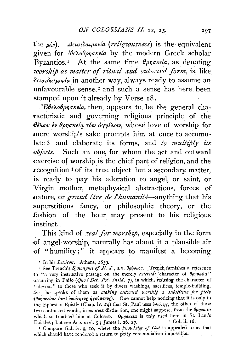the  $\mu \in \nu$ ). Δεισιδαιμονία (religiousness) is the equivalent given for εθελοθρησκεία by the modern Greek scholar Byzantios.<sup>1</sup> At the same time  $\theta$ *p* $\theta$ *p* $\theta$ *s* $\theta$ *ie*, as denoting worship as matter of ritual and outward form, is, like δεισιδαιμονία in another way, always ready to assume an unfavourable sense.<sup>2</sup> and such a sense has here been stamped upon it already by Verse 18.

 $E\theta \epsilon \lambda o\theta \rho \eta \sigma \kappa \epsilon a$ , then, appears to be the general characteristic and governing religious principle of the θέλων έν θρησκεία τῶν ἀγγέλων, whose love of worship for mere worship's sake prompts him at once to accumulate 3 and elaborate its forms, and to multiply its objects. Such an one, for whom the act and outward exercise of worship is the chief part of religion, and the recognition 4 of its true object but a secondary matter, is ready to pay his adoration to angel, or saint, or Virgin mother, metaphysical abstractions, forces of nature, or grand être de l'humanité—anything that his superstitious fancy, or philosophic theory, or the fashion of the hour may present to his religious instinct.

This kind of *zeal for worship*, especially in the form of angel-worship, naturally has about it a plausible air of "humility;" it appears to manifest a becoming

<sup>I</sup> In his *Lexicon*. Athens, 1839.

<sup>2</sup> See Trench's Synonyms of N. T., s.v.  $\theta \rho \tilde{\eta}$ σκος. Trench furnishes a reference to "a very instructive passage on the merely external character of  $\theta$ onokeia" occurring in Philo (Ouod Det. Pot. Insid. 7), in which, refusing the character of "devout" to those who seek it by divers washings, sacrifices, temple-building, &c., he speaks of them as making outward worship a substitute for picty  $\theta$ οπσκείαν αντί δσιότητος ήγούμενος). One cannot help noticing that it is only in the Ephesian Epistle (Chap. iv. 24) that St. Paul uses δσιότης, the other of these two contrasted words, in express distinction, one might suppose, from the θρησκεία which so troubled him at Colossæ. Oppoxeía is only used here in St. Paul's Epistles; but see Acts xxvi. 5; James i. 26, 27. 3 Col. ii. 16.

4 Compare Gal. iv. 9, 10, where the knowledge of God is appealed to as that which should have rendered a return to petty ceremonialism impossible.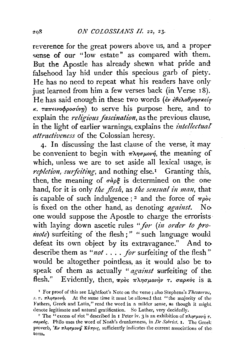reverence for the great powers above us, and a propersense of our "low estate" as compared with them. But the Apostle has already shewn what pride and falsehood lay hid under this specious garb of piety. He has no need to repeat what his readers have only just learned from him a few verses back (in Verse 18). He has said enough in these two words ( $\epsilon \nu \epsilon \theta \epsilon \lambda \omega \theta \rho \eta \sigma \kappa \epsilon/\sigma$  $\kappa$ .  $\tau a \pi \epsilon \nu \phi \phi \rho \sigma \nu \nu \eta$  to serve his purpose here, and to explain the *religious fascination*, as the previous clause, in the light of earlier warnings, explains the *intellectual attractiveness* of the Colossian heresy.

4· In discussing the last clause of the verse, it may be convenient to begin with  $\pi\lambda\eta\sigma\mu\omega\eta$ , the meaning of which, unless we are to set aside all lexical usage, is *repletion, surfeiting*, and nothing else.<sup>1</sup> Granting this, then, the meaning of  $\sigma \partial \rho \xi$  is determined on the one hand, for it is only *the flesh*, as *the sensual in man*, that is capable of such indulgence;<sup>2</sup> and the force of  $\pi \rho \delta s$ is fixed on the other hand, as denoting *against*. No one would suppose the Apostle to charge the errorists · with laying down ascetic rules "for (in order to pro*inote*) surfeiting of the flesh;" " such language would defeat its own object by its extravagance." And to describe them as "*not* . . . . *for* surfeiting of the flesh" would be altogether pointless, as it would also be to speak of them as actually *"against* surfeiting of the flesh." Evidently, then,  $\pi \rho \delta s$   $\pi \lambda \eta \sigma \mu \partial \gamma \eta \nu$  r.  $\sigma a \rho \kappa \delta s$  is a

<sup>&</sup>lt;sup>1</sup> For proof of this see Lightfoot's Note on the verse; also Stephens's Thesaurus, *s. v.*  $\pi\lambda\eta\sigma\mu o\nu\eta$ . At the same time it must be allowed that "the majority of the Fathers, Greek and Latin," read the word in a milder sense, as though it might denote legitimate and natural gratification. So Luther, very decidedly.<br><sup>2</sup> The "excess of riot" described in I Peter iv. 3 is an exhibition of  $\pi\lambda\eta\sigma\mu o\nu\eta\tau$ .

 $\sigma$ apxóg. Philo uses the word of Noah's drunkenness, in De Sobriet. 1. The Greek proverb, 'Ev  $\pi \lambda \eta \sigma \mu \nu \tilde{\nu}$  *K* $\psi \pi \rho \nu c$ , sufficiently indicates the current associations of the term.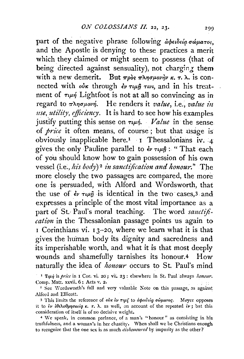part of the negative phrase following  $\partial \phi e_i \partial \phi \partial \phi \partial \phi \partial \phi$ and the Apostle is denying to these practices a merit which they claimed or might seem to possess (that of being directed against sensuality), not charging them with a new demerit. But πρòς πλησμονήν κ. τ. λ. is connected with *ovk* through  $\epsilon v \tau \mu \hat{\eta} \tau \nu \nu$ , and in his treatment of  $\tau \mu \eta$  Lightfoot is not at all so convincing as in regard to πλησμονή. He renders it *value*, i.e., *value in use, utility, efficiency.* It is hard to see how his examples justify putting this sense on  $\tau \mu \eta$ . *Value* in the sense of *price* it often means, of course ; but that usage is obviously inapplicable here.<sup>1</sup> 1 Thessalonians iv. 4 gives the only Pauline parallel to  $\partial \nu \tau \mu \hat{n}$ : "That each of you should know how to gain possession of his own vessel (i.e., his body)<sup>2</sup> in sanctification and honour." The more closely the two passages are compared, the more one is .persuaded, with Alford and W ordsworth, that the use of  $\partial v \tau \mu \hat{\eta}$  is identical in the two cases, 3 and expresses a principle of the most vital importance as a part of St. Paul's moral teaching. The word sanctifi*cation* in the Thessalonian passage points us again to 1 Corinthians vi. 13-20, where we learn what it is that gives the human body its dignity and sacredness and its imperishable worth, and what it is that most deeply wounds and shamefully tarnishes its honour.4 How naturally the idea of *honour* occurs to St. Paul's mind

 $\cdot$ <sup>1</sup> Tup) is *price* in 1 Cor. vi. 20; vii. 23 : elsewhere in St. Paul always *honour*; Comp. Matt. xxvii. 6 ; Acts v. 2.

" See 'Wordsworth's full and very valuable Note on this passage, as against Alfonl and Ellicott.

<sup>3</sup> This limits the reference of *οὐκ εν τιμί* to *ἀφειδεία σώματος*. Meyer opposes it to  $i\nu$   $i\theta\epsilon\lambda\theta\rho\eta\sigma\kappa\epsilon i\alpha$  **r.**  $\lambda$ , as well, on account of the repeated  $i\nu$ ; but this consideration of itself is of no decisive weight.

4 \V e speak, in common parlance, of a man's "honour" as consisting in his truthfulness, and a woman's in her chastity. \Vhen shall we be Christians enough to recognize that the one sex is as much *dishonoured* by impurity as the other?

200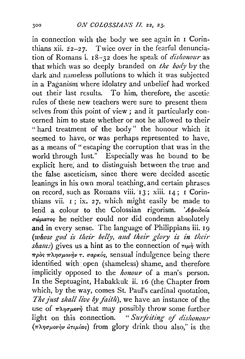in connection with the body we see again in I Corinthians xii.  $22-27$ . Twice over in the fearful denunciation of Romans i. 18-32 does he speak of *dishonour* as that which was so deeply branded on *the body* by the dark and nameless pollutions to which it was subjected in a Paganism· where idolatry and unbelief had worked out their last results. To him, therefore, the ascetic rules of these new teachers were sure to present them selves from this point of view; and it particularly concerned him to state whether or not he allowed to their "hard treatment of the body" the honour which it seemed to have, or was perhaps represented to have, as a means of "escaping the corruption that was in the world through lust." Especially was he bound to be explicit here; and to distinguish· between the true and the false asceticism, since there were decided ascetic leanings in his own moral teaching, and certain phrases on record, such as Romans viii. 13; xiii. 14; I Corinthians vii. I ; ix. *27,* which might easily be made to lend a colour to the Colossian rigorism. *'Abeideia uwp.aror;* he neither could nor did condemn absolutely and in every sense. The language of Philippians iii. 19 (whose god is their belly, and their glory is in their  $shamz$ ) gives us a hint as to the connection of  $\tau \mu \dot{\eta}$  with *πρ*ός *πλησμονήν τ. σαρκός*, sensual indulgence being there identified with open (shameless) shame, and therefore implicitly opposed to the *honour* of a man's person. In the Septuagint, Habakkuk ii. 16 (the Chapter from which, by the way, comes St. Paul's cardinal quotation, *The just shall live by fai'th),* we have an instance of the use of  $\pi\lambda\eta\sigma\mu\omega\eta$  that may possibly throw some further light on this connection. "Surfeiting of dishonour (πλησμονὴν ἀτιμίας) from glory drink thou also," is the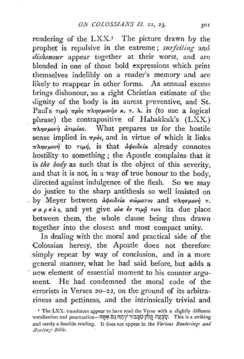rendering of the  $LXX$ .<sup>1</sup> The picture drawn by the prophet is repulsive in the extreme; *surfeiting* and *dishonour* appear together at their worst, and arc blended in one of those bold expressions which print themselves indelibly on a reader's memory and are likely to reappear in other forms. As sensual excess brings dishonour, so a right Christian estimate of the dignity of the body is its surest preventive, and St. Paul's  $\tau \mu \dot{\eta}$   $\pi \rho \dot{\delta} s$   $\pi \lambda \eta \sigma \mu \partial \nu \dot{\eta} \nu \kappa$ .  $\tau$ .  $\lambda$ . is (to use a logical phrase) the contrapositive of Habakkuk's  $(LXX)$ .  $\pi\lambda\eta\sigma\mu\omega\eta$  atulas. What prepares us for the hostile sense implied in  $\pi \rho \delta s$ , and in virtue of which it links  $\pi\lambda\eta\sigma\mu o\nu\eta$  to  $\tau\mu\eta$ , is that *a*  $\phi$ *et*  $\delta\epsilon$ *ia* already connotes hostility to something; the Apostle complains that it *is the body* as such that is the object of this severity, and that it is not, in a way of true honour to the body, directed against indulgence of the flesh. So we may do justice to the sharp antithesis so well insisted on . by Meyer between *apeldeia*  $\sigma \omega \mu$ *atos* and  $\pi \lambda \eta \sigma \mu_0 \nu_0$   $\tau$ .  $\sigma a \rho \kappa \delta s$ , and yet give our  $\epsilon \nu \tau \mu \hat{p} \tau \nu \nu$  its due place between them, the whole clause being thus drawn together into the closest and most compact unity.

In dealing with the moral and practical side of the Colossian heresy, the Apostle does not therefore .simply repeat by way of conclusion, and in a more general manner, what he had said before, but adds a new element of essential moment to his counter argument. He had condemned the moral code of the errorists in Verses 20-22, on the ground of its arbitrariness and pettiness, and the intrinsically trivial and

<sup>&#</sup>x27; The LXX. translators appear to have read the Verse with a slightly different vocalization and punctuation—הָקָלוּן כִוּבְּבוֹד יִיהָה נַם אֲתָּה בְּ and surely a feasible reading. It does not appear in the *Various Renderings and .Reading.< BiNe.*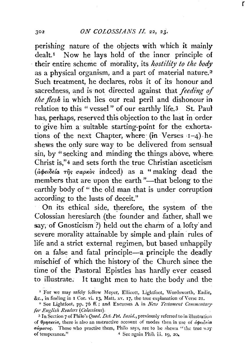## 302 *ON COLOSSIANS II.* 22, 23.

r

perishing nature of the objects with which it mainly dealt.<sup>1</sup> Now he lays hold of the inner principle of their entire scheme of morality, its *hostility to the body*  as a physical organism, and a part of material nature.<sup>2</sup> Such treatment, he declares, robs it of its honour and sacredness, and is· not directed against that *feeding* of *the flesh* in which lies our real peril and dishonour in relation to this "vessel" of our earthly life.3 St. Paul has, perhaps, reserved this objection to the last in order to give him a suitable starting-point for the exhorta· tions of the next Chapter, where  $(in \nVerges 1-4)$  he shews the only sure way to be delivered from sensual sin, by "seeking and minding the things above, where Christ is," 4 and sets forth the true Christian asceticism  $(d\phi e i\delta e^i a \tau \hat{\eta}s \sigma a \rho \kappa \delta s$  indeed) as a "making dead the members that are upon the earth "-that belong to the earthly body of " the old man that is under corruption according to the lusts of deceit."

On its ethical side, therefore, the system of the Colossian heresiarch (the founder and father, shall we say, of Gnosticism ?) held out the charm of a lofty' and severe morality attainable by simple and plain rules of life and a strict external regimen, but based unhappily on a false and fatal principle—a principle the deadly mischief of which the history of the Church since the time of the Pastoral Epistles has hardly ever ceased to illustrate. It taught men to hate the body and the

<sup>&</sup>lt;sup>1</sup> For we may safely follow Meyer, Ellicott, Lightfoot, Wordsworth, Eadie, &c., in finding in I Cor. vi. 13, Matt. xv. 17, the true explanation of Verse 21.

<sup>&</sup>lt;sup>2</sup> See Lightfoot, pp. 76 ff.; and Excursus A in *New Testament Commentary for English Readers* ( *Colossiam).* 

<sup>&</sup>lt;sup>3</sup> In Section 7 of Philo's *Quod. Det. Pot. Insid.*, previously referred to in illustration of  $\theta$ *pnoxeia*, there is also an instructive account of modes then in use of  $d\phi\epsilon\ell\delta\epsilon/\alpha$ *awparos.* Those who practise them, Philo says, are to be shewn "the true way of temperance."  $4 \text{ See again Phili, iii. 19, 20.}$ <sup>4</sup> Sec again Phil, iii. 19, 20,